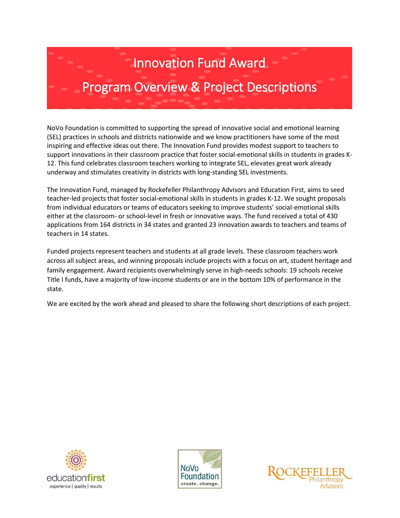# Innovation Fund Award

# Program Overview & Project Descriptions

NoVo Foundation is committed to supporting the spread of innovative social and emotional learning (SEL) practices in schools and districts nationwide and we know practitioners have some of the most inspiring and effective ideas out there. The Innovation Fund provides modest support to teachers to support innovations in their classroom practice that foster social-emotional skills in students in grades K-12. This fund celebrates classroom teachers working to integrate SEL, elevates great work already underway and stimulates creativity in districts with long-standing SEL investments.

The Innovation Fund, managed by Rockefeller Philanthropy Advisors and Education First, aims to seed teacher-led projects that foster social-emotional skills in students in grades K-12. We sought proposals from individual educators or teams of educators seeking to improve students' social-emotional skills either at the classroom- or school-level in fresh or innovative ways. The fund received a total of 430 applications from 164 districts in 34 states and granted 23 innovation awards to teachers and teams of teachers in 14 states.

Funded projects represent teachers and students at all grade levels. These classroom teachers work across all subject areas, and winning proposals include projects with a focus on art, student heritage and family engagement. Award recipients overwhelmingly serve in high-needs schools: 19 schools receive Title I funds, have a majority of low-income students or are in the bottom 10% of performance in the state.

We are excited by the work ahead and pleased to share the following short descriptions of each project.





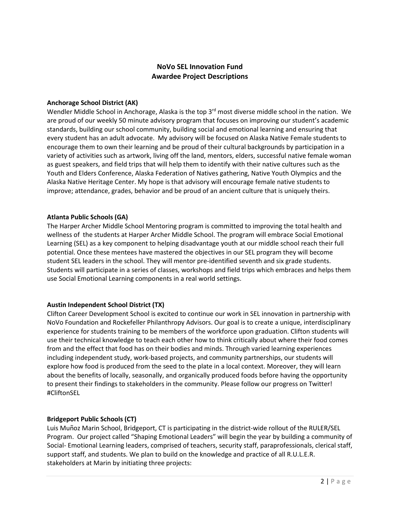# **NoVo SEL Innovation Fund Awardee Project Descriptions**

#### **Anchorage School District (AK)**

Wendler Middle School in Anchorage, Alaska is the top 3<sup>rd</sup> most diverse middle school in the nation. We are proud of our weekly 50 minute advisory program that focuses on improving our student's academic standards, building our school community, building social and emotional learning and ensuring that every student has an adult advocate. My advisory will be focused on Alaska Native Female students to encourage them to own their learning and be proud of their cultural backgrounds by participation in a variety of activities such as artwork, living off the land, mentors, elders, successful native female woman as guest speakers, and field trips that will help them to identify with their native cultures such as the Youth and Elders Conference, Alaska Federation of Natives gathering, Native Youth Olympics and the Alaska Native Heritage Center. My hope is that advisory will encourage female native students to improve; attendance, grades, behavior and be proud of an ancient culture that is uniquely theirs.

#### **Atlanta Public Schools (GA)**

The Harper Archer Middle School Mentoring program is committed to improving the total health and wellness of the students at Harper Archer Middle School. The program will embrace Social Emotional Learning (SEL) as a key component to helping disadvantage youth at our middle school reach their full potential. Once these mentees have mastered the objectives in our SEL program they will become student SEL leaders in the school. They will mentor pre-identified seventh and six grade students. Students will participate in a series of classes, workshops and field trips which embraces and helps them use Social Emotional Learning components in a real world settings.

# **Austin Independent School District (TX)**

Clifton Career Development School is excited to continue our work in SEL innovation in partnership with NoVo Foundation and Rockefeller Philanthropy Advisors. Our goal is to create a unique, interdisciplinary experience for students training to be members of the workforce upon graduation. Clifton students will use their technical knowledge to teach each other how to think critically about where their food comes from and the effect that food has on their bodies and minds. Through varied learning experiences including independent study, work-based projects, and community partnerships, our students will explore how food is produced from the seed to the plate in a local context. Moreover, they will learn about the benefits of locally, seasonally, and organically produced foods before having the opportunity to present their findings to stakeholders in the community. Please follow our progress on Twitter! #CliftonSEL

# **Bridgeport Public Schools (CT)**

Luis Mun͂oz Marin School, Bridgeport, CT is participating in the district-wide rollout of the RULER/SEL Program. Our project called "Shaping Emotional Leaders" will begin the year by building a community of Social- Emotional Learning leaders, comprised of teachers, security staff, paraprofessionals, clerical staff, support staff, and students. We plan to build on the knowledge and practice of all R.U.L.E.R. stakeholders at Marin by initiating three projects: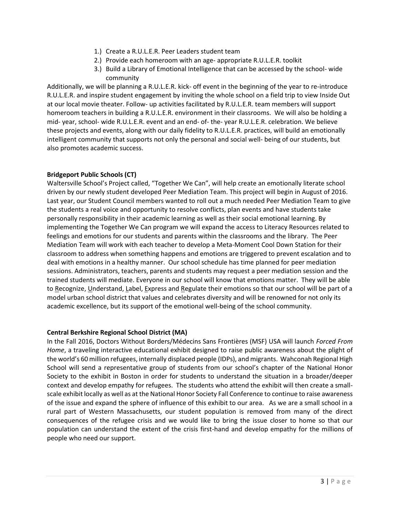- 1.) Create a R.U.L.E.R. Peer Leaders student team
- 2.) Provide each homeroom with an age- appropriate R.U.L.E.R. toolkit
- 3.) Build a Library of Emotional Intelligence that can be accessed by the school- wide community

Additionally, we will be planning a R.U.L.E.R. kick- off event in the beginning of the year to re-introduce R.U.L.E.R. and inspire student engagement by inviting the whole school on a field trip to view Inside Out at our local movie theater. Follow- up activities facilitated by R.U.L.E.R. team members will support homeroom teachers in building a R.U.L.E.R. environment in their classrooms. We will also be holding a mid- year, school- wide R.U.L.E.R. event and an end- of- the- year R.U.L.E.R. celebration. We believe these projects and events, along with our daily fidelity to R.U.L.E.R. practices, will build an emotionally intelligent community that supports not only the personal and social well- being of our students, but also promotes academic success.

## **Bridgeport Public Schools (CT)**

Waltersville School's Project called, "Together We Can", will help create an emotionally literate school driven by our newly student developed Peer Mediation Team. This project will begin in August of 2016. Last year, our Student Council members wanted to roll out a much needed Peer Mediation Team to give the students a real voice and opportunity to resolve conflicts, plan events and have students take personally responsibility in their academic learning as well as their social emotional learning. By implementing the Together We Can program we will expand the access to Literacy Resources related to feelings and emotions for our students and parents within the classrooms and the library. The Peer Mediation Team will work with each teacher to develop a Meta-Moment Cool Down Station for their classroom to address when something happens and emotions are triggered to prevent escalation and to deal with emotions in a healthy manner. Our school schedule has time planned for peer mediation sessions. Administrators, teachers, parents and students may request a peer mediation session and the trained students will mediate. Everyone in our school will know that emotions matter. They will be able to Recognize, Understand, Label, Express and Regulate their emotions so that our school will be part of a model urban school district that values and celebrates diversity and will be renowned for not only its academic excellence, but its support of the emotional well-being of the school community.

#### **Central Berkshire Regional School District (MA)**

In the Fall 2016, Doctors Without Borders/Médecins Sans Frontières (MSF) USA will launch *Forced From Home*, a traveling interactive educational exhibit designed to raise public awareness about the plight of the world's 60 million refugees, internally displaced people (IDPs), and migrants. Wahconah Regional High School will send a representative group of students from our school's chapter of the National Honor Society to the exhibit in Boston in order for students to understand the situation in a broader/deeper context and develop empathy for refugees. The students who attend the exhibit will then create a smallscale exhibit locally as well as at the National Honor Society Fall Conference to continue to raise awareness of the issue and expand the sphere of influence of this exhibit to our area. As we are a small school in a rural part of Western Massachusetts, our student population is removed from many of the direct consequences of the refugee crisis and we would like to bring the issue closer to home so that our population can understand the extent of the crisis first-hand and develop empathy for the millions of people who need our support.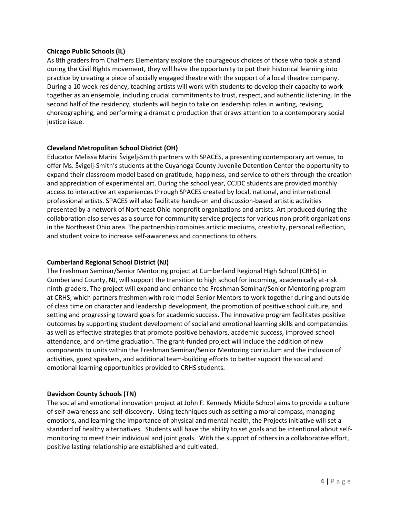#### **Chicago Public Schools (IL)**

As 8th graders from Chalmers Elementary explore the courageous choices of those who took a stand during the Civil Rights movement, they will have the opportunity to put their historical learning into practice by creating a piece of socially engaged theatre with the support of a local theatre company. During a 10 week residency, teaching artists will work with students to develop their capacity to work together as an ensemble, including crucial commitments to trust, respect, and authentic listening. In the second half of the residency, students will begin to take on leadership roles in writing, revising, choreographing, and performing a dramatic production that draws attention to a contemporary social justice issue.

#### **Cleveland Metropolitan School District (OH)**

Educator Melissa Marini Švigelj-Smith partners with SPACES, a presenting contemporary art venue, to offer Ms. Švigelj-Smith's students at the Cuyahoga County Juvenile Detention Center the opportunity to expand their classroom model based on gratitude, happiness, and service to others through the creation and appreciation of experimental art. During the school year, CCJDC students are provided monthly access to interactive art experiences through SPACES created by local, national, and international professional artists. SPACES will also facilitate hands-on and discussion-based artistic activities presented by a network of Northeast Ohio nonprofit organizations and artists. Art produced during the collaboration also serves as a source for community service projects for various non profit organizations in the Northeast Ohio area. The partnership combines artistic mediums, creativity, personal reflection, and student voice to increase self-awareness and connections to others.

#### **Cumberland Regional School District (NJ)**

The Freshman Seminar/Senior Mentoring project at Cumberland Regional High School (CRHS) in Cumberland County, NJ, will support the transition to high school for incoming, academically at-risk ninth-graders. The project will expand and enhance the Freshman Seminar/Senior Mentoring program at CRHS, which partners freshmen with role model Senior Mentors to work together during and outside of class time on character and leadership development, the promotion of positive school culture, and setting and progressing toward goals for academic success. The innovative program facilitates positive outcomes by supporting student development of social and emotional learning skills and competencies as well as effective strategies that promote positive behaviors, academic success, improved school attendance, and on-time graduation. The grant-funded project will include the addition of new components to units within the Freshman Seminar/Senior Mentoring curriculum and the inclusion of activities, guest speakers, and additional team-building efforts to better support the social and emotional learning opportunities provided to CRHS students.

#### **Davidson County Schools (TN)**

The social and emotional innovation project at John F. Kennedy Middle School aims to provide a culture of self-awareness and self-discovery. Using techniques such as setting a moral compass, managing emotions, and learning the importance of physical and mental health, the Projects initiative will set a standard of healthy alternatives. Students will have the ability to set goals and be intentional about selfmonitoring to meet their individual and joint goals. With the support of others in a collaborative effort, positive lasting relationship are established and cultivated.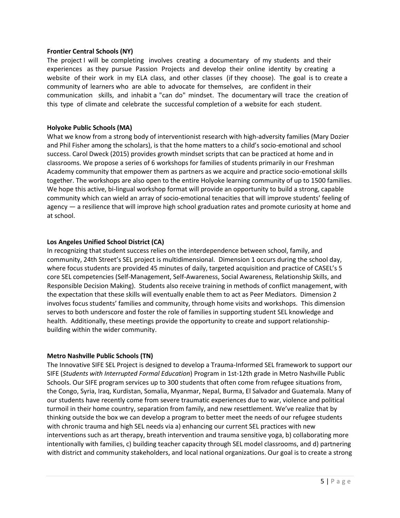#### **Frontier Central Schools (NY)**

The project I will be completing involves creating a documentary of my students and their experiences as they pursue Passion Projects and develop their online identity by creating a website of their work in my ELA class, and other classes (if they choose). The goal is to create a community of learners who are able to advocate for themselves, are confident in their communication skills, and inhabit a "can do" mindset. The documentary will trace the creation of this type of climate and celebrate the successful completion of a website for each student.

#### **Holyoke Public Schools (MA)**

What we know from a strong body of interventionist research with high-adversity families (Mary Dozier and Phil Fisher among the scholars), is that the home matters to a child's socio-emotional and school success. Carol Dweck (2015) provides growth mindset scripts that can be practiced at home and in classrooms. We propose a series of 6 workshops for families of students primarily in our Freshman Academy community that empower them as partners as we acquire and practice socio-emotional skills together. The workshops are also open to the entire Holyoke learning community of up to 1500 families. We hope this active, bi-lingual workshop format will provide an opportunity to build a strong, capable community which can wield an array of socio-emotional tenacities that will improve students' feeling of agency — a resilience that will improve high school graduation rates and promote curiosity at home and at school.

#### **Los Angeles Unified School District (CA)**

In recognizing that student success relies on the interdependence between school, family, and community, 24th Street's SEL project is multidimensional. Dimension 1 occurs during the school day, where focus students are provided 45 minutes of daily, targeted acquisition and practice of CASEL's 5 core SEL competencies (Self-Management, Self-Awareness, Social Awareness, Relationship Skills, and Responsible Decision Making). Students also receive training in methods of conflict management, with the expectation that these skills will eventually enable them to act as Peer Mediators. Dimension 2 involves focus students' families and community, through home visits and workshops. This dimension serves to both underscore and foster the role of families in supporting student SEL knowledge and health. Additionally, these meetings provide the opportunity to create and support relationshipbuilding within the wider community.

#### **Metro Nashville Public Schools (TN)**

The Innovative SIFE SEL Project is designed to develop a Trauma-Informed SEL framework to support our SIFE (*Students with Interrupted Formal Education*) Program in 1st-12th grade in Metro Nashville Public Schools. Our SIFE program services up to 300 students that often come from refugee situations from, the Congo, Syria, Iraq, Kurdistan, Somalia, Myanmar, Nepal, Burma, El Salvador and Guatemala. Many of our students have recently come from severe traumatic experiences due to war, violence and political turmoil in their home country, separation from family, and new resettlement. We've realize that by thinking outside the box we can develop a program to better meet the needs of our refugee students with chronic trauma and high SEL needs via a) enhancing our current SEL practices with new interventions such as art therapy, breath intervention and trauma sensitive yoga, b) collaborating more intentionally with families, c) building teacher capacity through SEL model classrooms, and d) partnering with district and community stakeholders, and local national organizations. Our goal is to create a strong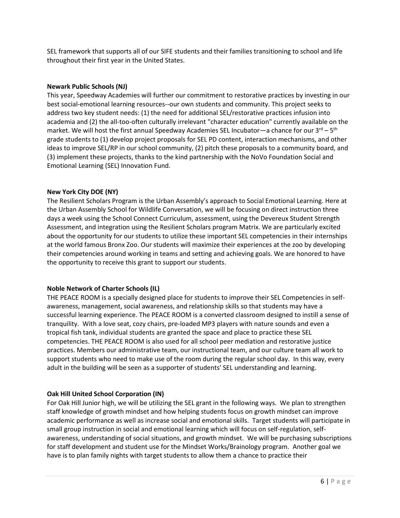SEL framework that supports all of our SIFE students and their families transitioning to school and life throughout their first year in the United States.

#### **Newark Public Schools (NJ)**

This year, Speedway Academies will further our commitment to restorative practices by investing in our best social-emotional learning resources--our own students and community. This project seeks to address two key student needs: (1) the need for additional SEL/restorative practices infusion into academia and (2) the all-too-often culturally irrelevant "character education" currently available on the market. We will host the first annual Speedway Academies SEL Incubator—a chance for our 3<sup>rd</sup> – 5<sup>th</sup> grade students to (1) develop project proposals for SEL PD content, interaction mechanisms, and other ideas to improve SEL/RP in our school community, (2) pitch these proposals to a community board, and (3) implement these projects, thanks to the kind partnership with the NoVo Foundation Social and Emotional Learning (SEL) Innovation Fund.

## **New York City DOE (NY)**

The Resilient Scholars Program is the Urban Assembly's approach to Social Emotional Learning. Here at the Urban Assembly School for Wildlife Conversation, we will be focusing on direct instruction three days a week using the School Connect Curriculum, assessment, using the Devereux Student Strength Assessment, and integration using the Resilient Scholars program Matrix. We are particularly excited about the opportunity for our students to utilize these important SEL competencies in their internships at the world famous Bronx Zoo. Our students will maximize their experiences at the zoo by developing their competencies around working in teams and setting and achieving goals. We are honored to have the opportunity to receive this grant to support our students.

# **Noble Network of Charter Schools (IL)**

THE PEACE ROOM is a specially designed place for students to improve their SEL Competencies in selfawareness, management, social awareness, and relationship skills so that students may have a successful learning experience. The PEACE ROOM is a converted classroom designed to instill a sense of tranquility. With a love seat, cozy chairs, pre-loaded MP3 players with nature sounds and even a tropical fish tank, individual students are granted the space and place to practice these SEL competencies. THE PEACE ROOM is also used for all school peer mediation and restorative justice practices. Members our administrative team, our instructional team, and our culture team all work to support students who need to make use of the room during the regular school day. In this way, every adult in the building will be seen as a supporter of students' SEL understanding and learning.

# **Oak Hill United School Corporation (IN)**

For Oak Hill Junior high, we will be utilizing the SEL grant in the following ways. We plan to strengthen staff knowledge of growth mindset and how helping students focus on growth mindset can improve academic performance as well as increase social and emotional skills. Target students will participate in small group instruction in social and emotional learning which will focus on self-regulation, selfawareness, understanding of social situations, and growth mindset. We will be purchasing subscriptions for staff development and student use for the Mindset Works/Brainology program. Another goal we have is to plan family nights with target students to allow them a chance to practice their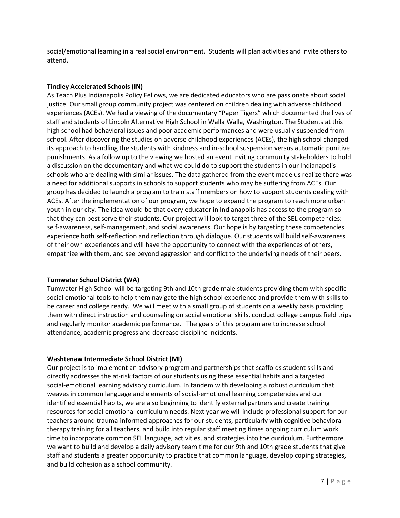social/emotional learning in a real social environment. Students will plan activities and invite others to attend.

# **Tindley Accelerated Schools (IN)**

As Teach Plus Indianapolis Policy Fellows, we are dedicated educators who are passionate about social justice. Our small group community project was centered on children dealing with adverse childhood experiences (ACEs). We had a viewing of the documentary "Paper Tigers" which documented the lives of staff and students of Lincoln Alternative High School in Walla Walla, Washington. The Students at this high school had behavioral issues and poor academic performances and were usually suspended from school. After discovering the studies on adverse childhood experiences (ACEs), the high school changed its approach to handling the students with kindness and in-school suspension versus automatic punitive punishments. As a follow up to the viewing we hosted an event inviting community stakeholders to hold a discussion on the documentary and what we could do to support the students in our Indianapolis schools who are dealing with similar issues. The data gathered from the event made us realize there was a need for additional supports in schools to support students who may be suffering from ACEs. Our group has decided to launch a program to train staff members on how to support students dealing with ACEs. After the implementation of our program, we hope to expand the program to reach more urban youth in our city. The idea would be that every educator in Indianapolis has access to the program so that they can best serve their students. Our project will look to target three of the SEL competencies: self-awareness, self-management, and social awareness. Our hope is by targeting these competencies experience both self-reflection and reflection through dialogue. Our students will build self-awareness of their own experiences and will have the opportunity to connect with the experiences of others, empathize with them, and see beyond aggression and conflict to the underlying needs of their peers.

# **Tumwater School District (WA)**

Tumwater High School will be targeting 9th and 10th grade male students providing them with specific social emotional tools to help them navigate the high school experience and provide them with skills to be career and college ready. We will meet with a small group of students on a weekly basis providing them with direct instruction and counseling on social emotional skills, conduct college campus field trips and regularly monitor academic performance. The goals of this program are to increase school attendance, academic progress and decrease discipline incidents.

#### **Washtenaw Intermediate School District (MI)**

Our project is to implement an advisory program and partnerships that scaffolds student skills and directly addresses the at-risk factors of our students using these essential habits and a targeted social-emotional learning advisory curriculum. In tandem with developing a robust curriculum that weaves in common language and elements of social-emotional learning competencies and our identified essential habits, we are also beginning to identify external partners and create training resources for social emotional curriculum needs. Next year we will include professional support for our teachers around trauma-informed approaches for our students, particularly with cognitive behavioral therapy training for all teachers, and build into regular staff meeting times ongoing curriculum work time to incorporate common SEL language, activities, and strategies into the curriculum. Furthermore we want to build and develop a daily advisory team time for our 9th and 10th grade students that give staff and students a greater opportunity to practice that common language, develop coping strategies, and build cohesion as a school community.